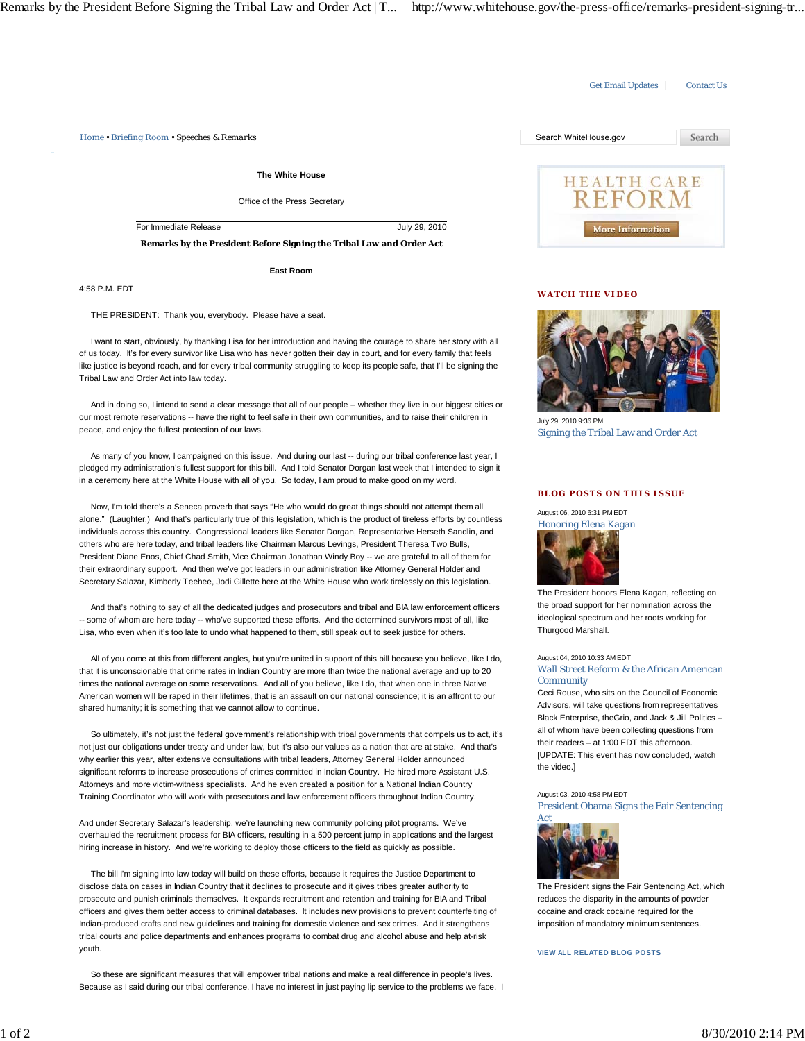Get Email Updates Contact Us *Home • Briefing Room • Speeches & Remarks* Search WhiteHouse.gov Search **The White House HEALTH CARE REFORM** Office of the Press Secretary For Immediate Release July 29, 2010 More Information **Remarks by the President Before Signing the Tribal Law and Order Act East Room**

**WATCH THE VIDEO**



July 29, 2010 9:36 PM Signing the Tribal Law and Order Act

## **BLOG POSTS ON THIS ISSUE**

August 06, 2010 6:31 PM EDT Honoring Elena Kagan



The President honors Elena Kagan, reflecting on the broad support for her nomination across the ideological spectrum and her roots working for Thurgood Marshall.

## August 04, 2010 10:33 AM EDT Wall Street Reform & the African American **Community**

Ceci Rouse, who sits on the Council of Economic Advisors, will take questions from representatives Black Enterprise, theGrio, and Jack & Jill Politics – all of whom have been collecting questions from their readers – at 1:00 EDT this afternoon. [UPDATE: This event has now concluded, watch the video.]

## August 03, 2010 4:58 PM EDT President Obama Signs the Fair Sentencing Act



The President signs the Fair Sentencing Act, which reduces the disparity in the amounts of powder cocaine and crack cocaine required for the imposition of mandatory minimum sentences.

## **VIEW ALL RELATED BLOG POSTS**

4:58 P.M. EDT

THE PRESIDENT: Thank you, everybody. Please have a seat.

 I want to start, obviously, by thanking Lisa for her introduction and having the courage to share her story with all of us today. It's for every survivor like Lisa who has never gotten their day in court, and for every family that feels like justice is beyond reach, and for every tribal community struggling to keep its people safe, that I'll be signing the Tribal Law and Order Act into law today.

And in doing so, I intend to send a clear message that all of our people -- whether they live in our biggest cities or our most remote reservations -- have the right to feel safe in their own communities, and to raise their children in peace, and enjoy the fullest protection of our laws.

As many of you know, I campaigned on this issue. And during our last -- during our tribal conference last year, I pledged my administration's fullest support for this bill. And I told Senator Dorgan last week that I intended to sign it in a ceremony here at the White House with all of you. So today, I am proud to make good on my word.

 Now, I'm told there's a Seneca proverb that says "He who would do great things should not attempt them all alone." (Laughter.) And that's particularly true of this legislation, which is the product of tireless efforts by countless individuals across this country. Congressional leaders like Senator Dorgan, Representative Herseth Sandlin, and others who are here today, and tribal leaders like Chairman Marcus Levings, President Theresa Two Bulls, President Diane Enos, Chief Chad Smith, Vice Chairman Jonathan Windy Boy -- we are grateful to all of them for their extraordinary support. And then we've got leaders in our administration like Attorney General Holder and Secretary Salazar, Kimberly Teehee, Jodi Gillette here at the White House who work tirelessly on this legislation.

 And that's nothing to say of all the dedicated judges and prosecutors and tribal and BIA law enforcement officers -- some of whom are here today -- who've supported these efforts. And the determined survivors most of all, like Lisa, who even when it's too late to undo what happened to them, still speak out to seek justice for others.

 All of you come at this from different angles, but you're united in support of this bill because you believe, like I do, that it is unconscionable that crime rates in Indian Country are more than twice the national average and up to 20 times the national average on some reservations. And all of you believe, like I do, that when one in three Native American women will be raped in their lifetimes, that is an assault on our national conscience; it is an affront to our shared humanity; it is something that we cannot allow to continue.

 So ultimately, it's not just the federal government's relationship with tribal governments that compels us to act, it's not just our obligations under treaty and under law, but it's also our values as a nation that are at stake. And that's why earlier this year, after extensive consultations with tribal leaders, Attorney General Holder announced significant reforms to increase prosecutions of crimes committed in Indian Country. He hired more Assistant U.S. Attorneys and more victim-witness specialists. And he even created a position for a National Indian Country Training Coordinator who will work with prosecutors and law enforcement officers throughout Indian Country.

And under Secretary Salazar's leadership, we're launching new community policing pilot programs. We've overhauled the recruitment process for BIA officers, resulting in a 500 percent jump in applications and the largest hiring increase in history. And we're working to deploy those officers to the field as quickly as possible.

 The bill I'm signing into law today will build on these efforts, because it requires the Justice Department to disclose data on cases in Indian Country that it declines to prosecute and it gives tribes greater authority to prosecute and punish criminals themselves. It expands recruitment and retention and training for BIA and Tribal officers and gives them better access to criminal databases. It includes new provisions to prevent counterfeiting of Indian-produced crafts and new guidelines and training for domestic violence and sex crimes. And it strengthens tribal courts and police departments and enhances programs to combat drug and alcohol abuse and help at-risk youth.

 So these are significant measures that will empower tribal nations and make a real difference in people's lives. Because as I said during our tribal conference, I have no interest in just paying lip service to the problems we face. I